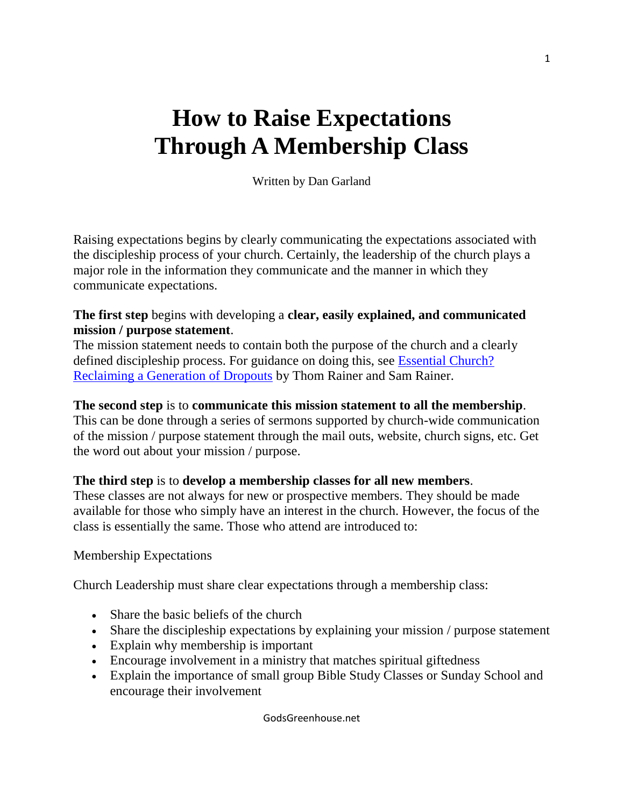# **How to Raise Expectations Through A Membership Class**

Written by Dan Garland

Raising expectations begins by clearly communicating the expectations associated with the discipleship process of your church. Certainly, the leadership of the church plays a major role in the information they communicate and the manner in which they communicate expectations.

#### **The first step** begins with developing a **clear, easily explained, and communicated mission / purpose statement**.

The mission statement needs to contain both the purpose of the church and a clearly defined discipleship process. For guidance on doing this, see [Essential Church?](http://oreb.bssb.org/product/?isbn=0805443924)  [Reclaiming a Generation of Dropouts](http://oreb.bssb.org/product/?isbn=0805443924) by Thom Rainer and Sam Rainer.

#### **The second step** is to **communicate this mission statement to all the membership**.

This can be done through a series of sermons supported by church-wide communication of the mission / purpose statement through the mail outs, website, church signs, etc. Get the word out about your mission / purpose.

## **The third step** is to **develop a membership classes for all new members**.

These classes are not always for new or prospective members. They should be made available for those who simply have an interest in the church. However, the focus of the class is essentially the same. Those who attend are introduced to:

## Membership Expectations

Church Leadership must share clear expectations through a membership class:

- Share the basic beliefs of the church
- Share the discipleship expectations by explaining your mission / purpose statement
- Explain why membership is important
- Encourage involvement in a ministry that matches spiritual giftedness
- Explain the importance of small group Bible Study Classes or Sunday School and encourage their involvement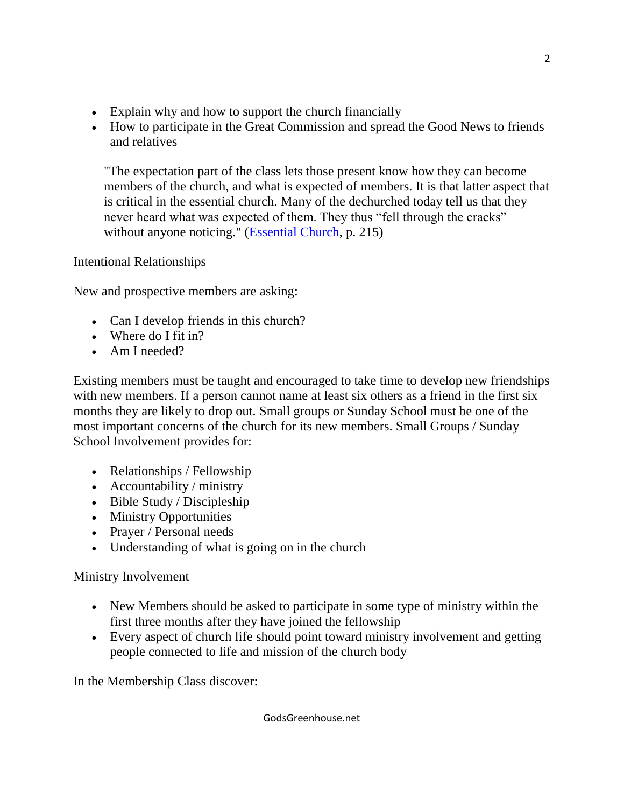- Explain why and how to support the church financially
- How to participate in the Great Commission and spread the Good News to friends and relatives

"The expectation part of the class lets those present know how they can become members of the church, and what is expected of members. It is that latter aspect that is critical in the essential church. Many of the dechurched today tell us that they never heard what was expected of them. They thus "fell through the cracks" without anyone noticing." [\(Essential Church,](http://oreb.bssb.org/product/?isbn=0805443924) p. 215)

Intentional Relationships

New and prospective members are asking:

- Can I develop friends in this church?
- Where do I fit in?
- Am I needed?

Existing members must be taught and encouraged to take time to develop new friendships with new members. If a person cannot name at least six others as a friend in the first six months they are likely to drop out. Small groups or Sunday School must be one of the most important concerns of the church for its new members. Small Groups / Sunday School Involvement provides for:

- Relationships / Fellowship
- Accountability / ministry
- Bible Study / Discipleship
- Ministry Opportunities
- Prayer / Personal needs
- Understanding of what is going on in the church

## Ministry Involvement

- New Members should be asked to participate in some type of ministry within the first three months after they have joined the fellowship
- Every aspect of church life should point toward ministry involvement and getting people connected to life and mission of the church body

In the Membership Class discover: